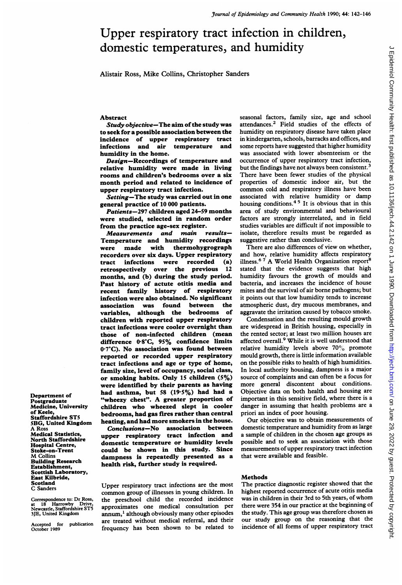# Upper respiratory tract infection in children, domestic temperatures, and humidity

Alistair Ross, Mike Collins, Christopher Sanders

#### Abstract

Study objective-The aim of the study was to seek for a possible association between the incidence of upper respiratory tract infections and air temperature and humidity in the home.

Design-Recordings of temperature and relative humidity were made in living rooms and children's bedrooms over a six month period and related to incidence of upper respiratory tract infection.

Setting-The study was carried out in one general practice of 10 000 patients.

Patients-297 children aged 24-59 months were studied, selected in random order from the practice age-sex register.

Measurements and main results-Temperature and humidity recordings were made with thermohygrograph recorders over six days. Upper respiratory tract infections were recorded (a) retrospectively over the previous 12 months, and (b) during the study period. Past history of actute otitis media and recent family history of respiratory infection were also obtained. No significant association was found between variables, although the bedrooms of children with reported upper respiratory tract infections were cooler overnight than those of non-infected children (mean difference 0.8°C, 95% confidence limits 0.7°C). No association was found between reported or recorded upper respiratory tract infections and age or type of home, family size, level of occupancy, social class, or smoking habits. Only 15 children (5%) were identified by their parents as having had asthma, but <sup>58</sup> (19-5%) had had a "wheezy chest". A greater proportion of children who wheezed slept in cooler bedrooms, had gas fires rather than central heating, and had more smokers in the house.

Conclusions-No association between upper respiratory tract infection and domestic temperature or humidity levels could be shown in this study. Since dampness is repeatedly presented as a health risk, further study is required.

Upper respiratory tract infections are the most common group of illnesses in young children. In the preschool child the recorded incidence approximates one medical consultation per annum,<sup>1</sup> although obviously many other episodes are treated without medical referral, and their frequency has been shown to be related to seasonal factors, family size, age and school attendances.2 Field studies of the effects of humidity on respiratory disease have taken place in kindergarten, schools, barracks and offices, and some reports have suggested that higher humidity was associated with lower absenteeism or the occurrence of upper respiratory tract infection, but the findings have not always been consistent.<sup>3</sup> There have been fewer studies of the physical properties of domestic indoor air, but the common cold and respiratory illness have been associated with relative humidity or damp housing conditions.4 <sup>5</sup> It is obvious that in this area of study environmental and behavioural factors are strongly interrelated, and in field studies variables are difficult if not impossible to isolate, therefore results must be regarded as suggestive rather than conclusive.

There are also differences of view on whether, and how, relative humidity affects respiratory illness.<sup>67</sup> A World Health Organization report<sup>8</sup> stated that the evidence suggests that high humidity favours the growth of moulds and bacteria, and increases the incidence of house mites and the survival of air borne pathogens; but it points out that low humidity tends to increase atmospheric dust, dry mucous membranes, and aggravate the irritation caused by tobacco smoke.

Condensation and the resulting mould growth are widespread in British housing, especially in the rented sector; at least two million houses are affected overall.<sup>9</sup> While it is well understood that relative humidity levels above 70% promote mould growth, there is little information available on the possible risks to health of high humidities. In local authority housing, dampness is a major source of complaints and can often be a focus for more general discontent about conditions. Objective data on both health and housing are important in this sensitive field, where there is a danger in assuming that health problems are a priori an index of poor housing.

Our objective was to obtain measurements of domestic temperature and humidity from as large a sample of children in the chosen age groups as possible and to seek an association with those measurements of upper respiratory tract infection that were available and feasible.

#### Methods

The practice diagnostic register showed that the highest reported occurrence of acute otitis media was in children in their 3rd to 5th years, of whom there were 354 in our practice at the beginning of the study. This age group was therefore chosen as our study group on the reasoning that the incidence of all forms of upper respiratory tract

Department of Postgraduate Medicine, University of Keele, Staffordshire ST5 5BG, United Kingdom A Ross Medical Statistics, North Staffordshire Hospital Centre, Stoke-on-Trent M Collins Building Research Establishment, Scottish Laboratory, East Kilbride, Scotland C Sanders

Correspondence to: Dr Ross, at 18 Harrowby Drive, Newcastle, Staffordshire ST5 3JE, United Kingdom

Accepted for publication October 1989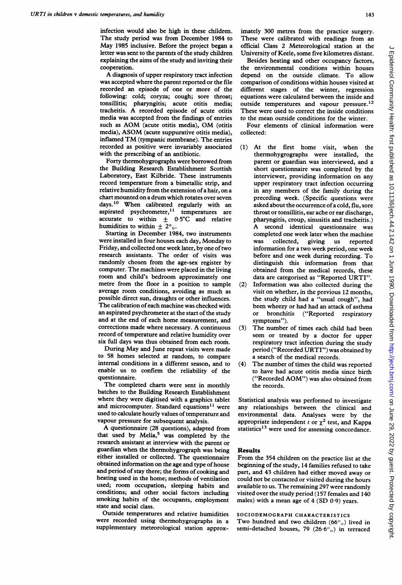infection would also be high in these children. The study period was from December 1984 to May 1985 inclusive. Before the project began <sup>a</sup> letter was sent to the parents of the study children explaining the aims of the study and inviting their cooperation.

A diagnosis of upper respiratory tract infection was accepted where the parent reported or the file recorded an episode of one or more of the following: cold; coryza; cough; sore throat; tonsillitis; pharyngitis; acute otitis media; tracheitis. A recorded episode of acute otitis media was accepted from the findings of entries such as AOM (acute otitis media), OM (otitis media), ASOM (acute suppurative otitis media), inflamed TM (tympanic membrane). The entries recorded as positive were invariably associated with the prescribing of an antibiotic.

Forty thermohygrographs were borrowed from the Building Research Establishment Scottish Laboratory, East Kilbride. These instruments record temperature from a bimetallic strip, and relative humidity from the extension ofa hair, on a chart mounted on a drum which rotates over seven days.'0 When calibrated regularly with an aspirated psychrometer,<sup>11</sup> temperatures are accurate to within  $\pm$  0.5°C and relative humidities to within  $\pm 2^{\circ}$ .

Starting in December 1984, two instruments were installed in four houses each day, Monday to Friday, and collected one week later, by one of two research assistants. The order of visits was randomly chosen from the age-sex register by computer. The machines were placed in the living room and child's bedroom approximately one metre from the floor in a position to sample average room conditions, avoiding as much as possible direct sun, draughts or other influences. The calibration of each machine was checked with an aspirated psychrometer at the start of the study and at the end of each home measurement, and corrections made where necessary. A continuous record of temperature and relative humidity over six full days was thus obtained from each room.

During May and June repeat visits were made to 58 homes selected at random, to compare internal conditions in a different season, and to enable us to confirm the reliability of the questionnaire.

The completed charts were sent in monthly batches to the Building Research Establishment where they were digitised with a graphics tablet and microcomputer. Standard equations<sup>11</sup> were used to calculate hourly values of temperature and vapour pressure for subsequent analysis.

A questionnaire (28 questions), adapted from that used by Melia,<sup>5</sup> was completed by the research assistant at interview with the parent or guardian when the thermohygrograph was being either installed or collected. The questionnaire obtained information on the age and type of house and period of stay there; the forms of cooking and heating used in the home; methods of ventilation used; room occupation, sleeping habits and conditions; and other social factors including smoking habits of the occupants, employment state and social class.

Outside temperatures and relative humidities were recorded using thermohygrographs in a supplementary meteorological station approximately 300 metres from the practice surgery. These were calibrated with readings from an official Class 2 Meteorological station at the University of Keele, some five kilometres distant.

Besides heating and other occupancy factors, the environmental conditions within houses depend on the outside climate. To allow comparison of conditions within houses visited at different stages of the winter, regression equations were calculated between the inside and outside temperatures and vapour pressure.<sup>12</sup> These were used to correct the inside conditions to the mean outside conditions for the winter.

Four elements of clinical information were collected:

- (1) At the first home visit, when the thermohygrographs were installed, the parent or guardian was interviewed, and a short questionnaire was completed by the interviewer, providing information on any upper respiratory tract infection occurring in any members of the family during the preceding week. (Specific questions were asked about the occurrence of a cold, flu, sore throat or tonsillitis, ear ache or ear discharge, pharyngitis, croup, sinusitis and tracheitis.) A second identical questionnaire was completed one week later when the machine was collected, giving us reported information for a two week period, one week before and one week during recording. To distinguish this information from that obtained from the medical records, these data are categorised as "Reported URTI".
- (2) Information was also collected during the visit on whether, in the previous 12 months, the study child had a "usual cough", had been wheezy or had had an attack of asthma<br>or bronchitis ("Reported respiratory or bronchitis ("Reported respiratory symptoms").
- (3) The number of times each child had been seen or treated by <sup>a</sup> doctor for upper respiratory tract infection during the study period ("Recorded URTI") was obtained by a search of the medical records.
- (4) The number of times the child was reported to have had acute otitis media since birth ("Recorded AOM") was also obtained from the records.

Statistical analysis was performed to investigate any relationships between the clinical and environmental data. Analyses were by the appropriate independent t or  $\chi^2$  test, and Kappa statistics<sup>13</sup> were used for assessing concordance.

#### Results

From the 354 children on the practice list at the beginning of the study, 14 families refused to take part, and 43 children had either moved away or could not be contacted or visited during the hours available to us. The remaining 297 were randomly visited over the study period (157 females and 140 males) with a mean age of  $4 (SD 0.9)$  years.

## SOCIODEMOGRAPH CHARACTERISTICS

Two hundred and two children  $(66°_0)$  lived in semi-detached houses, 79 (26.6".) in terraced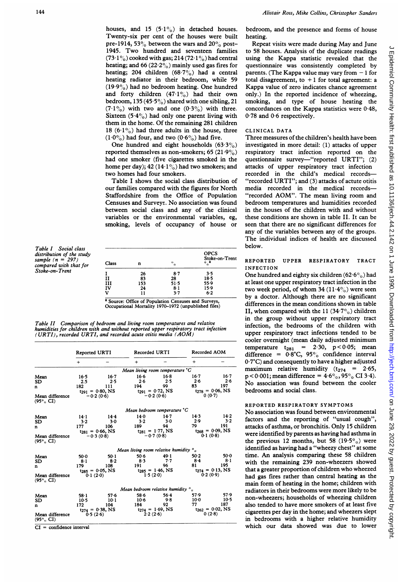houses, and 15 (5.1%) in detached houses. Twenty-six per cent of the houses were built pre-1914, 53% between the wars and  $20\%$  post-1945. Two hundred and seventeen families  $(73.1\%)$  cooked with gas; 214 (72.1%) had central heating; and 66 (22 $2\frac{9}{0}$ ) mainly used gas fires for heating; 204 children  $(68.7\%)$  had a central heating radiator in their bedroom, while 59  $(19.9\%)$  had no bedroom heating. One hundred and forty children  $(47.1\%)$  had their own bedroom, 135 (45.5%) shared with one sibling, 21  $(7.1\%)$  with two and one  $(0.3\%)$  with three. Sixteen  $(5.4\%)$  had only one parent living with them in the home. Of the remaining 281 children 18 (6.1%) had three adults in the house, three  $(1.0\%)$  had four, and two  $(0.6\%)$  had five.

One hundred and eight households  $(63.3\%)$ reported themselves as non-smokers; 65 (21.9%) had one smoker (five cigarettes smoked in the home per day);  $42(14.1\%)$  had two smokers; and two homes had four smokers.

Table <sup>I</sup> shows the social class distribution of our families compared with the figures for North Staffordshire from the Office of Population Censuses and Surveys. No association was found between social class and any of the clinical variables or the environmental variables, eg, smoking, levels of occupancy of house or

Table I Social class distribution of the study sample (n = 297) compared with that for Stoke-on- Trent

| <b>Class</b> | n   | $^{(1)}$<br>o | <b>OPCS</b><br>Stoke-on-Trent<br>0 <sup>2</sup><br>$\Omega$ |
|--------------|-----|---------------|-------------------------------------------------------------|
|              | 26  | 8.7           | 3.5                                                         |
|              | 83  | 28            | 18.5                                                        |
| ш            | 153 | 51.5          | 55.9                                                        |
|              | 24  | 8-1           | 15.9                                                        |
|              |     | 3.7           | 6.2                                                         |

<sup>a</sup> Source: Office of Population Censuses and Surveys, Occupational Mortality 1970-1972 (unpublished files)

Table II Comparison of bedroom and living room temperatures and relative humidities for children with and without reported upper respiratory tract infection (UR TI), recorded URTI, and recorded acute otitis media (AOM)

|                                            | Reported URTI |                       | Recorded URTI                                    |                       | Recorded AOM |                       |
|--------------------------------------------|---------------|-----------------------|--------------------------------------------------|-----------------------|--------------|-----------------------|
|                                            | $\ddot{}$     |                       | ┿                                                |                       | $+$          |                       |
|                                            |               |                       | Mean living room temperature °C                  |                       |              |                       |
| Mean                                       | $16 - 5$      | 16.7                  | 16.6                                             | $16-8$                | $16 - 7$     | $16-7$                |
| SD                                         | 2.5           | 2.5                   | 2.6                                              | 2.5                   | 2.6          | 2.6                   |
| n                                          | 182           | 111                   | 194                                              | 99                    | 83           | 197                   |
|                                            |               | $t_{291} = 0.80, NS$  |                                                  | $t_{291} = 0.72, NS$  |              | $t_{278} = 0.06$ , NS |
| Mean difference<br>$(95^\circ, \text{CI})$ |               | $-0.2(0.6)$           |                                                  | $-0.2(0.6)$           | 0(0.7)       |                       |
|                                            |               |                       | Mean bedroom temperature °C                      |                       |              |                       |
| Mean                                       | 14.1          | $14 - 4$              | 14.0                                             | 14.7                  | 14.3         | 14.2                  |
| <b>SD</b>                                  | 3.2           | $3-0$                 | 3.2                                              | 3.0                   | 2.9          | 3.2                   |
| n                                          | 177           | 106                   | 189                                              | 94                    | 79           | 191                   |
|                                            |               | $t_{281} = 0.66$ , NS |                                                  | $t_{281} = 1.77, NS$  |              | $t_{268} = 0.09$ , NS |
| Mean difference<br>$(95^\circ, \text{CI})$ |               | $-0.3(0.8)$           |                                                  | $-0.7(0.8)$           | 0.1(0.8)     |                       |
|                                            |               |                       | Mean living room relative humidity $\sigma_o$    |                       |              |                       |
| Mean                                       | 50.0          | $50-1$                | $50-6$                                           | 49.1                  | 50.2         | $50-0$                |
| SD                                         | 8·1           | 8.2                   | 8.3                                              | $7-7$                 | 8.4          | 8·1                   |
| $\mathbf n$                                | 179           | 108                   | 191                                              | 96                    | 81           | 195                   |
|                                            |               | $t_{285} = 0.05$ , NS |                                                  | $t_{285} = 1.46$ , NS |              | $t_{274} = 0.13$ , NS |
| Mean difference<br>$(95^\circ, \text{CI})$ | 0.1(2.0)      |                       | 1.5(2.0)                                         |                       | 0.2(0.9)     |                       |
|                                            |               |                       | Mean bedroom relative humidity $\sigma_{\alpha}$ |                       |              |                       |
| Mean                                       | 58∙1          | 57.6                  | 58.6                                             | $56 - 4$              | 57.9         | 57.9                  |
| SD                                         | 10.5          | 10 <sub>1</sub>       | $10-6$                                           | 9.8                   | $10-0$       | $10-5$                |
| n                                          | 172           | 104                   | 184                                              | 92                    | 77           | 187                   |
|                                            |               | $t_{274} = 0.38$ , NS |                                                  | $t_{274} = 1.69$ , NS |              | $t_{262} = 0.02$ , NS |
| Mean difference<br>$(95^\circ, \text{CI})$ | 0.5(2.6)      |                       | 2.2(2.6)                                         |                       | 0(2.8)       |                       |

 $CI = confidence$  interval

bedroom, and the presence and forms of house heating.

Repeat visits were made during May and June to 58 houses. Analysis of the duplicate readings using the Kappa statistic revealed that the questionnaire was consistently completed by parents. (The Kappa value may vary from  $-1$  for total disagreement, to  $+1$  for total agreement: a Kappa value of zero indicates chance agreement only.) In the reported incidence of wheezing, smoking, and type of house heating the concordances on the Kappa statistics were 0-48, 0.78 and 0.6 respectively.

## CLINICAL DATA

Three measures of the children's health have been investigated in more detail: (1) attacks of upper respiratory tract infection reported on the questionnaire survey-"reported URTI"; (2) attacks of upper respiratory tract infection recorded in the child's medical records- "recorded URTI"; and (3) attacks of actute otitis media recorded in the medical records-"recorded AOM". The mean living room and bedroom temperatures and humidities recorded in the houses of the children with and without these conditions are shown in table II. It can be seen that there are no significant differences for any of the variables between any of the groups. The individual indices of health are discussed below.

### REPORTED UPPER RESPIRATORY TRACT INFECTION

One hundred and eighty six children  $(62.6\%)$  had at least one upper respiratory tract infection in the two week period, of whom 34  $(11.4\%)$  were seen by a doctor. Although there are no significant differences in the mean conditions shown in table II, when compared with the 11  $(34.7\%)$  children in the group without upper respiratory tract infection, the bedrooms of the children with upper respiratory tract infections tended to be cooler overnight (mean daily adjusted minimum temperature  $t_{281} = 2.30, p < 0.05$ ; mean difference =  $0.8^{\circ}C$ ,  $95\%$  confidence interval 07'C) and consequently to have <sup>a</sup> higher adjusted maximum relative humidity  $(t_{274} = 2.65)$ , p < 0.001; mean difference =  $4.6\%$ , 95% CI 3.4). No association was found between the cooler bedrooms and social class.

# REPORTED RESPIRATORY SYMPTOMS

No association was found between environmental factors and the reporting of "usual cough", attacks of asthma, or bronchitis. Only 15 children were identified by parents as having had asthma in the previous 12 months, but 58  $(19.5\degree)$  were identified as having had <sup>a</sup> "wheezy chest" at some time. An analysis comparing these 58 children with the remaining 239 non-wheezers showed that <sup>a</sup> greater proportion of children who wheezed had gas fires rather than central heating as the main form of heating in the home; children with radiators in their bedrooms were more likely to be non-wheezers; households of wheezing children also tended to have more smokers of at least five cigarettes per day in the home; and wheezers slept in bedrooms with a higher relative humidity which our data showed was due to lower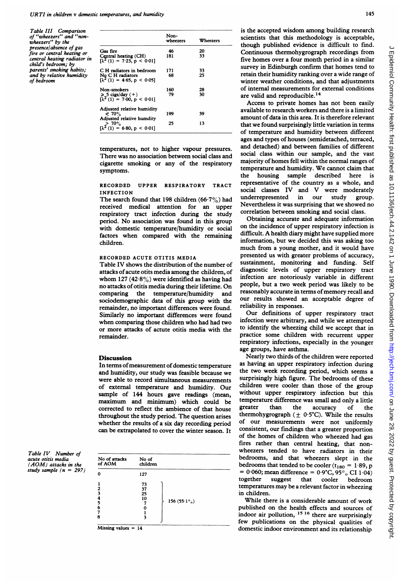Table III Comparison of "wheezers" and "non-wheezers" by the presence/absence of gas fire or central heating or central heating radiator in child's bedroom; by parents' smoking habits; and by relative humidity of bedroom

|                                                                        | Non-<br>wheezers | Wheezers |
|------------------------------------------------------------------------|------------------|----------|
| Gas fire                                                               | 46               | 20       |
| Central heating (CH)<br>$[\lambda^2 (1) = 7.23, p < 0.01]$             | 181              | 33       |
| C.H. radiators in bedroom                                              | 171              | 33       |
| No C H radiators<br>$[\lambda^2 (1) = 4.65, p < 0.05]$                 | 68               | 25       |
| Non-smokers                                                            | 160              | 28       |
| $\ge 5$ cigs/day (+)<br>$\sqrt{12}$ (1) = 7.00, p < 0.01]              | 79               | 30       |
| Adjusted relative humidity<br>$\leq 70\%$<br>Adjusted relative humdity | 199              | 39       |
| $> 70\%$<br>$\left[\lambda^2(1)\right] = 6.80, p < 0.01$               | 25               | 13       |

temperatures, not to higher vapour pressures. There was no association between social class and cigarette smoking or any of the respiratory symptoms.

### RECORDED UPPER RESPIRATORY TRACT INFECTION

The search found that 198 children (66-7%) had received medical attention for an upper respiratory tract infection during the study period. No association was found in this group with domestic temperature/humidity or social factors when compared with the remaining children.

# RECORDED ACUTE OTITIS MEDIA

Table IV shows the distribution of the number of attacks of acute otits media among the children, of whom  $127 (42.8\%)$  were identified as having had no attacks of otitis media during their lifetime. On comparing the temperature/humidity and sociodemographic data of this group with the remainder, no important differences were found. Similarly no important differences were found when comparing those children who had had two or more attacks of actute otitis media with the remainder.

#### Discussion

In terms of measurement of domestic temperature and humidity, our study was feasible because we were able to record simultaneous measurements of extemal temperature and humidity. Our sample of 144 hours gave readings (mean, maximum and minimum) which could be corrected to reflect the ambience of that house throughout the study period. The question arises whether the results of a six day recording period can be extrapolated to cover the winter season. It

Table IV Number of acute otitis media (AOM) attacks in the study sample  $(n = 297)$ 

| No of attacks<br>of AOM  | No of<br>children         |                                          |
|--------------------------|---------------------------|------------------------------------------|
| 0                        | 127                       |                                          |
| 1<br>2345<br>6<br>7<br>8 | 73<br>37<br>25<br>10<br>3 | 156 (55 $\cdot$ 1 $\cdot$ <sub>0</sub> ) |
| $Minima$ rained $-14$    |                           |                                          |

Missing values = <sup>14</sup>

is the accepted wisdom among building research scientists that this methodology is acceptable, though published evidence is difficult to find. Continuous thermohygrograph recordings from five homes over a four month period in a similar survey in Edinburgh confirm that homes tend to retain their humidity ranking over a wide range of winter weather conditions, and that adjustments of internal measurements for external conditions are valid and reproducible.<sup>14</sup>

Access to private homes has not been easily available to research workers and there is a limited amount of data in this area. It is therefore relevant that we found surprisingly little variation in terms of temperature and humidity between different ages and types of houses (semidetached, terraced, and detached) and between families of different social class within our sample, and the vast majority of homes fell within the normal ranges of temperature and humidity. We cannot claim that<br>the housing sample described here is housing sample described here representative of the country as a whole, and social classes IV and V were moderately<br>underrepresented in our study group. underrepresented in our study group. Nevertheless it was surprising that we showed no correlation between smoking and social class.

Obtaining accurate and adequate information on the incidence of upper respiratory infection is difficult. A health diary might have supplied more information, but we decided this was asking too much from a young mother, and it would have presented us with greater problems of accuracy, sustainment, monitoring and funding. Self diagnostic levels of upper respiratory tract infection are notoriously variable in different people, but a two week period was likely to be reasonably accurate in terms of memory recall and our results showed an acceptable degree of reliability in responses.

Our definitions of upper respiratory tract infection were arbitrary, and while we attempted to identify the wheezing child we accept that in practice some children with recurrent upper respiratory infections, especially in the younger age groups, have asthma.

Nearly two thirds of the children were reported as having an upper respiratory infection during the two week recording period, which seems a surprisingly high figure. The bedrooms of these children were cooler than those of the group without upper respiratory infection but this temperature difference was small and only a little greater than the accuracy of the thermohygrograph ( $\pm$  0.5°C). While the results of our measurements were not uniformly consistent, our findings that a greater proportion of the homes of children who wheezed had gas fires rather than central heating, that nonwheezers tended to have radiators in their bedrooms, and that wheezers slept in the bedrooms that tended to be cooler ( $t_{180} = 1.89$ , p = 0.060; mean difference =  $0.9^{\circ}$ C,  $95^{\circ}$ <sub>0</sub> CI 1.04)<br>together suggest that cooler bedroom suggest that cooler bedroom temperatures may be a relevant factor in wheezing in children.

While there is a considerable amount of work published on the health effects and sources of indoor air pollution, <sup>15 16</sup> there are surprisingly few publications on the physical qualities of domestic indoor environment and its relationship